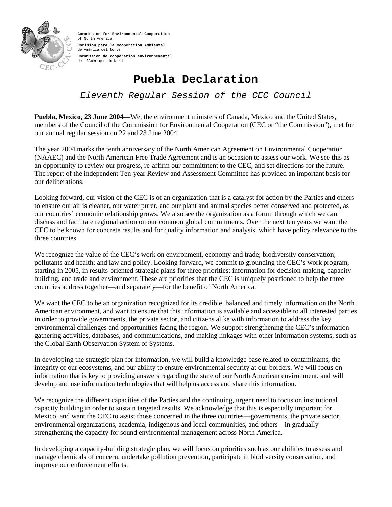

**Commission for Environmental Cooperation**  of North America **Comisión para la Cooperación Ambiental**  de América del Norte **Commission de coopération environnemental**  de l'Amérique du Nord

## **Puebla Declaration**

*Eleventh Regular Session of the CEC Council*

**Puebla, Mexico, 23 June 2004—**We, the environment ministers of Canada, Mexico and the United States, members of the Council of the Commission for Environmental Cooperation (CEC or "the Commission"), met for our annual regular session on 22 and 23 June 2004.

The year 2004 marks the tenth anniversary of the North American Agreement on Environmental Cooperation (NAAEC) and the North American Free Trade Agreement and is an occasion to assess our work. We see this as an opportunity to review our progress, re-affirm our commitment to the CEC, and set directions for the future. The report of the independent Ten-year Review and Assessment Committee has provided an important basis for our deliberations.

Looking forward, our vision of the CEC is of an organization that is a catalyst for action by the Parties and others to ensure our air is cleaner, our water purer, and our plant and animal species better conserved and protected, as our countries' economic relationship grows. We also see the organization as a forum through which we can discuss and facilitate regional action on our common global commitments. Over the next ten years we want the CEC to be known for concrete results and for quality information and analysis, which have policy relevance to the three countries.

We recognize the value of the CEC's work on environment, economy and trade; biodiversity conservation; pollutants and health; and law and policy. Looking forward, we commit to grounding the CEC's work program, starting in 2005, in results-oriented strategic plans for three priorities: information for decision-making, capacity building, and trade and environment. These are priorities that the CEC is uniquely positioned to help the three countries address together—and separately—for the benefit of North America.

We want the CEC to be an organization recognized for its credible, balanced and timely information on the North American environment, and want to ensure that this information is available and accessible to all interested parties in order to provide governments, the private sector, and citizens alike with information to address the key environmental challenges and opportunities facing the region. We support strengthening the CEC's informationgathering activities, databases, and communications, and making linkages with other information systems, such as the Global Earth Observation System of Systems.

In developing the strategic plan for information, we will build a knowledge base related to contaminants, the integrity of our ecosystems, and our ability to ensure environmental security at our borders. We will focus on information that is key to providing answers regarding the state of our North American environment, and will develop and use information technologies that will help us access and share this information.

We recognize the different capacities of the Parties and the continuing, urgent need to focus on institutional capacity building in order to sustain targeted results. We acknowledge that this is especially important for Mexico, and want the CEC to assist those concerned in the three countries—governments, the private sector, environmental organizations, academia, indigenous and local communities, and others—in gradually strengthening the capacity for sound environmental management across North America.

In developing a capacity-building strategic plan, we will focus on priorities such as our abilities to assess and manage chemicals of concern, undertake pollution prevention, participate in biodiversity conservation, and improve our enforcement efforts.